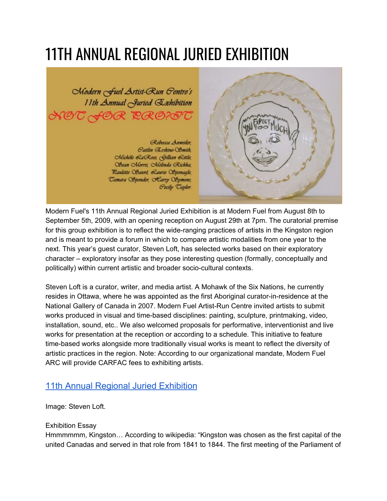## 11TH ANNUAL REGIONAL JURIED EXHIBITION



Modern Fuel's 11th Annual Regional Juried Exhibition is at Modern Fuel from August 8th to September 5th, 2009, with an opening reception on August 29th at 7pm. The curatorial premise for this group exhibition is to reflect the wide-ranging practices of artists in the Kingston region and is meant to provide a forum in which to compare artistic modalities from one year to the next. This year's guest curator, Steven Loft, has selected works based on their exploratory character – exploratory insofar as they pose interesting question (formally, conceptually and politically) within current artistic and broader socio-cultural contexts.

Steven Loft is a curator, writer, and media artist. A Mohawk of the Six Nations, he currently resides in Ottawa, where he was appointed as the first Aboriginal curator-in-residence at the National Gallery of Canada in 2007. Modern Fuel Artist-Run Centre invited artists to submit works produced in visual and time-based disciplines: painting, sculpture, printmaking, video, installation, sound, etc.. We also welcomed proposals for performative, interventionist and live works for presentation at the reception or according to a schedule. This initiative to feature time-based works alongside more traditionally visual works is meant to reflect the diversity of artistic practices in the region. Note: According to our organizational mandate, Modern Fuel ARC will provide CARFAC fees to exhibiting artists.

## 11th Annual Regional Juried [Exhibition](http://www.flickr.com/photos/modernfuel/sets/72157622075518064/)

Image: Steven Loft.

## Exhibition Essay

Hmmmmmm, Kingston… According to wikipedia: "Kingston was chosen as the first capital of the united Canadas and served in that role from 1841 to 1844. The first meeting of the Parliament of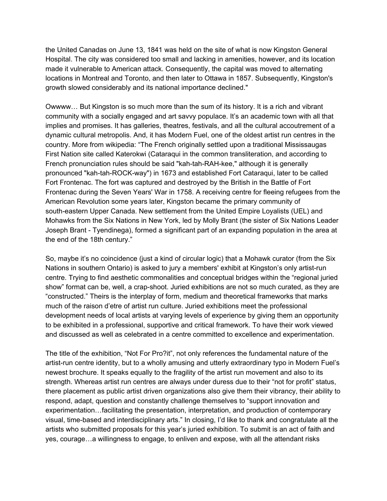the United Canadas on June 13, 1841 was held on the site of what is now Kingston General Hospital. The city was considered too small and lacking in amenities, however, and its location made it vulnerable to American attack. Consequently, the capital was moved to alternating locations in Montreal and Toronto, and then later to Ottawa in 1857. Subsequently, Kingston's growth slowed considerably and its national importance declined."

Owwww… But Kingston is so much more than the sum of its history. It is a rich and vibrant community with a socially engaged and art savvy populace. It's an academic town with all that implies and promises. It has galleries, theatres, festivals, and all the cultural accoutrement of a dynamic cultural metropolis. And, it has Modern Fuel, one of the oldest artist run centres in the country. More from wikipedia: "The French originally settled upon a traditional Mississaugas First Nation site called Katerokwi (Cataraqui in the common transliteration, and according to French pronunciation rules should be said "kah-tah-RAH-kee," although it is generally pronounced "kah-tah-ROCK-way") in 1673 and established Fort Cataraqui, later to be called Fort Frontenac. The fort was captured and destroyed by the British in the Battle of Fort Frontenac during the Seven Years' War in 1758. A receiving centre for fleeing refugees from the American Revolution some years later, Kingston became the primary community of south-eastern Upper Canada. New settlement from the United Empire Loyalists (UEL) and Mohawks from the Six Nations in New York, led by Molly Brant (the sister of Six Nations Leader Joseph Brant - Tyendinega), formed a significant part of an expanding population in the area at the end of the 18th century."

So, maybe it's no coincidence (just a kind of circular logic) that a Mohawk curator (from the Six Nations in southern Ontario) is asked to jury a members' exhibit at Kingston's only artist-run centre. Trying to find aesthetic commonalities and conceptual bridges within the "regional juried show" format can be, well, a crap-shoot. Juried exhibitions are not so much curated, as they are "constructed." Theirs is the interplay of form, medium and theoretical frameworks that marks much of the raison d'etre of artist run culture. Juried exhibitions meet the professional development needs of local artists at varying levels of experience by giving them an opportunity to be exhibited in a professional, supportive and critical framework. To have their work viewed and discussed as well as celebrated in a centre committed to excellence and experimentation.

The title of the exhibition, "Not For Pro?it", not only references the fundamental nature of the artist-run centre identity, but to a wholly amusing and utterly extraordinary typo in Modern Fuel's newest brochure. It speaks equally to the fragility of the artist run movement and also to its strength. Whereas artist run centres are always under duress due to their "not for profit" status, there placement as public artist driven organizations also give them their vibrancy, their ability to respond, adapt, question and constantly challenge themselves to "support innovation and experimentation…facilitating the presentation, interpretation, and production of contemporary visual, time-based and interdisciplinary arts." In closing, I'd like to thank and congratulate all the artists who submitted proposals for this year's juried exhibition. To submit is an act of faith and yes, courage…a willingness to engage, to enliven and expose, with all the attendant risks